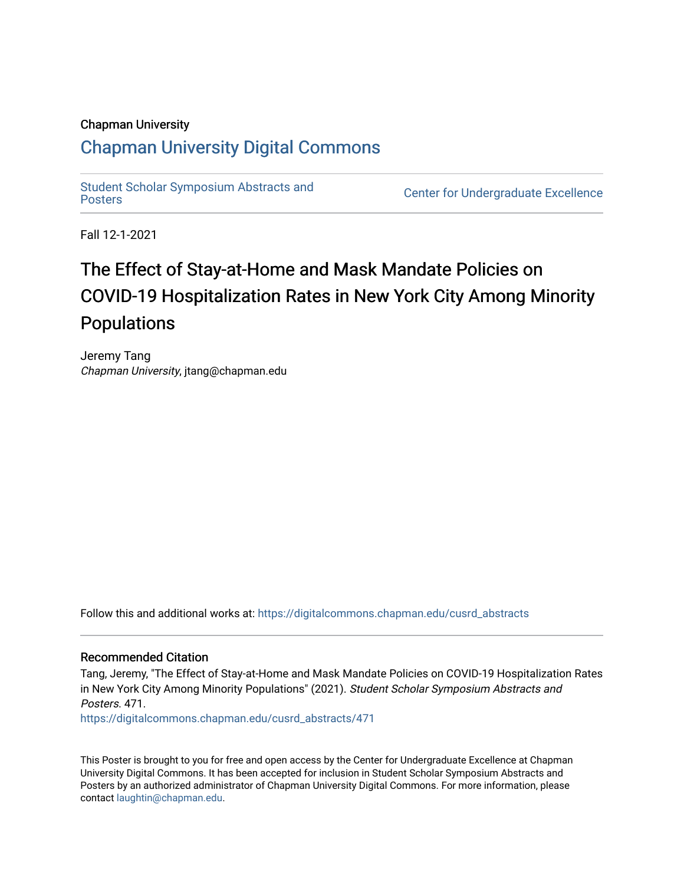### Chapman University

### [Chapman University Digital Commons](https://digitalcommons.chapman.edu/)

[Student Scholar Symposium Abstracts and](https://digitalcommons.chapman.edu/cusrd_abstracts) 

Center for Undergraduate Excellence

Fall 12-1-2021

### The Effect of Stay-at-Home and Mask Mandate Policies on COVID-19 Hospitalization Rates in New York City Among Minority Populations

Jeremy Tang Chapman University, jtang@chapman.edu

Follow this and additional works at: [https://digitalcommons.chapman.edu/cusrd\\_abstracts](https://digitalcommons.chapman.edu/cusrd_abstracts?utm_source=digitalcommons.chapman.edu%2Fcusrd_abstracts%2F471&utm_medium=PDF&utm_campaign=PDFCoverPages) 

### Recommended Citation

Tang, Jeremy, "The Effect of Stay-at-Home and Mask Mandate Policies on COVID-19 Hospitalization Rates in New York City Among Minority Populations" (2021). Student Scholar Symposium Abstracts and Posters. 471.

[https://digitalcommons.chapman.edu/cusrd\\_abstracts/471](https://digitalcommons.chapman.edu/cusrd_abstracts/471?utm_source=digitalcommons.chapman.edu%2Fcusrd_abstracts%2F471&utm_medium=PDF&utm_campaign=PDFCoverPages) 

This Poster is brought to you for free and open access by the Center for Undergraduate Excellence at Chapman University Digital Commons. It has been accepted for inclusion in Student Scholar Symposium Abstracts and Posters by an authorized administrator of Chapman University Digital Commons. For more information, please contact [laughtin@chapman.edu](mailto:laughtin@chapman.edu).